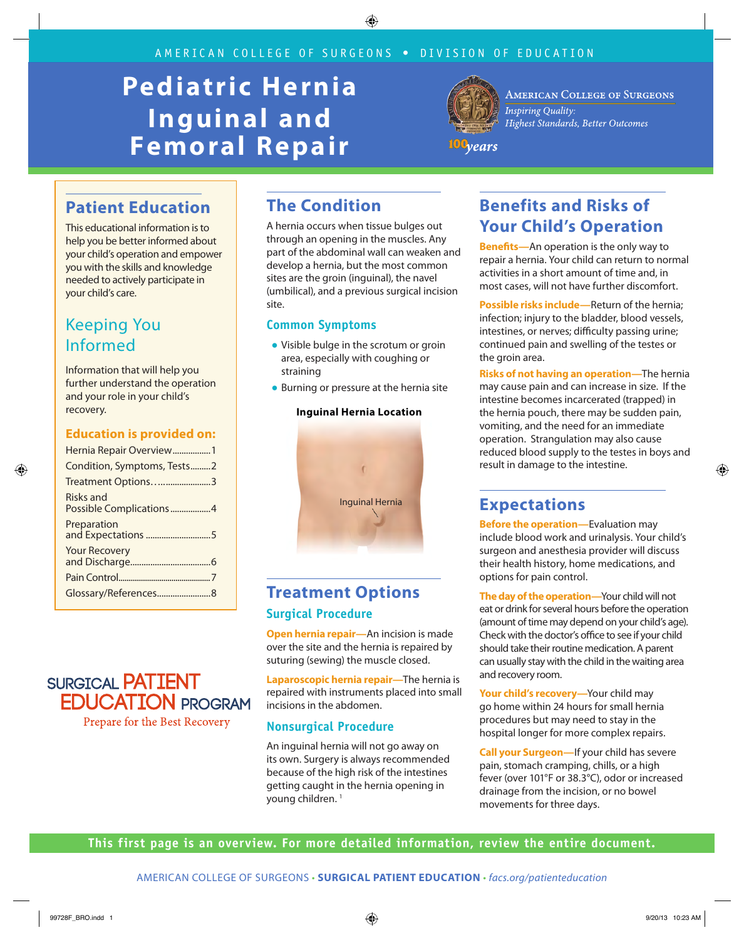# **Pediatric Hernia Inguinal and Femoral Repair**



**AMERICAN COLLEGE OF SURGEONS Inspiring Quality:** Highest Standards, Better Outcomes

100<sub>years</sub>

# **Patient Education**

This educational information is to help you be better informed about your child's operation and empower you with the skills and knowledge needed to actively participate in your child's care.

# Keeping You Informed

Information that will help you further understand the operation and your role in your child's recovery.

#### **Education is provided on:**

| Hernia Repair Overview1              |
|--------------------------------------|
| Condition, Symptoms, Tests2          |
| Treatment Options3                   |
| Risks and<br>Possible Complications4 |
| Preparation<br>and Expectations 5    |
| <b>Your Recovery</b>                 |
|                                      |
|                                      |
|                                      |

### **SURGICAL PATIENT EDUCATION PROGRAM** Prepare for the Best Recovery

# **The Condition**

A hernia occurs when tissue bulges out through an opening in the muscles. Any part of the abdominal wall can weaken and develop a hernia, but the most common sites are the groin (inguinal), the navel (umbilical), and a previous surgical incision site.

#### **Common Symptoms**

- Visible bulge in the scrotum or groin area, especially with coughing or straining
- Burning or pressure at the hernia site



#### **Inguinal Hernia Location**

# **Treatment Options**

#### **Surgical Procedure**

**Open hernia repair—**An incision is made over the site and the hernia is repaired by suturing (sewing) the muscle closed.

**Laparoscopic hernia repair—**The hernia is repaired with instruments placed into small incisions in the abdomen.

#### **Nonsurgical Procedure**

An inguinal hernia will not go away on its own. Surgery is always recommended because of the high risk of the intestines getting caught in the hernia opening in young children.<sup>1</sup>

# **Benefits and Risks of Your Child's Operation**

**Benefits—**An operation is the only way to repair a hernia. Your child can return to normal activities in a short amount of time and, in most cases, will not have further discomfort.

**Possible risks include—**Return of the hernia; infection; injury to the bladder, blood vessels, intestines, or nerves; difficulty passing urine; continued pain and swelling of the testes or the groin area.

**Risks of not having an operation—**The hernia may cause pain and can increase in size. If the intestine becomes incarcerated (trapped) in the hernia pouch, there may be sudden pain, vomiting, and the need for an immediate operation. Strangulation may also cause reduced blood supply to the testes in boys and result in damage to the intestine.

## **Expectations**

**Before the operation—**Evaluation may include blood work and urinalysis. Your child's surgeon and anesthesia provider will discuss their health history, home medications, and options for pain control.

**The day of the operation—**Your child will not eat or drink for several hours before the operation (amount of time may depend on your child's age). Check with the doctor's office to see if your child should take their routine medication. A parent can usually stay with the child in the waiting area and recovery room.

**Your child's recovery—**Your child may go home within 24 hours for small hernia procedures but may need to stay in the hospital longer for more complex repairs.

**Call your Surgeon—**If your child has severe pain, stomach cramping, chills, or a high fever (over 101°F or 38.3°C), odor or increased drainage from the incision, or no bowel movements for three days.

**This first page is an overview. For more detailed information, review the entire document.**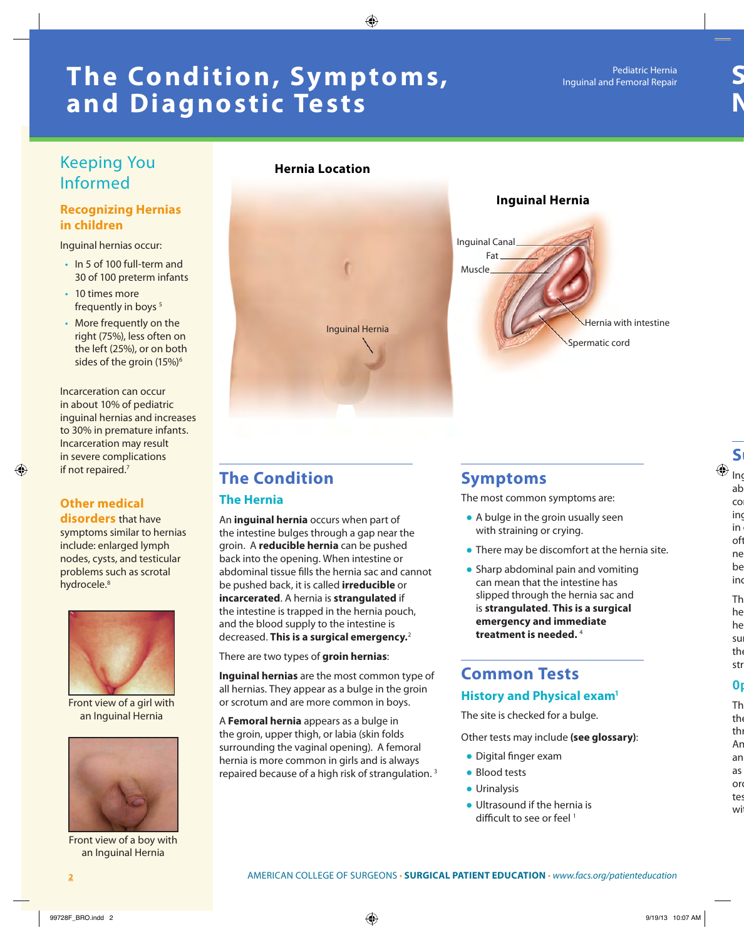# **The Condition, Symptoms, and Diagnostic Tests**

## Keeping You Informed

#### **Recognizing Hernias in children**

Inguinal hernias occur:

- In 5 of 100 full-term and 30 of 100 preterm infants
- 10 times more frequently in boys<sup>5</sup>
- More frequently on the right (75%), less often on the left (25%), or on both sides of the groin (15%)<sup>6</sup>

Incarceration can occur in about 10% of pediatric inguinal hernias and increases to 30% in premature infants. Incarceration may result in severe complications if not repaired.<sup>7</sup>

### **Other medical**

**disorders** that have symptoms similar to hernias include: enlarged lymph nodes, cysts, and testicular problems such as scrotal hydrocele.<sup>8</sup>



Front view of a girl with an Inguinal Hernia



Front view of a boy with an Inguinal Hernia

#### **Hernia Location**



# **The Condition**

#### **The Hernia**

An **inguinal hernia** occurs when part of the intestine bulges through a gap near the groin. A **reducible hernia** can be pushed back into the opening. When intestine or abdominal tissue fills the hernia sac and cannot be pushed back, it is called **irreducible** or **incarcerated**. A hernia is **strangulated** if the intestine is trapped in the hernia pouch, and the blood supply to the intestine is decreased. **This is a surgical emergency.**<sup>2</sup>

There are two types of **groin hernias**:

**Inguinal hernias** are the most common type of all hernias. They appear as a bulge in the groin or scrotum and are more common in boys.

A **Femoral hernia** appears as a bulge in the groin, upper thigh, or labia (skin folds surrounding the vaginal opening). A femoral hernia is more common in girls and is always repaired because of a high risk of strangulation. 3

### **Symptoms**

The most common symptoms are:

- A bulge in the groin usually seen with straining or crying.
- There may be discomfort at the hernia site.
- Sharp abdominal pain and vomiting can mean that the intestine has slipped through the hernia sac and is **strangulated**. **This is a surgical emergency and immediate treatment is needed.** <sup>4</sup>

# **Common Tests**

#### **History and Physical exam1**

The site is checked for a bulge.

Other tests may include **(see glossary)**:

- Digital finger exam
- Blood tests
- Urinalysis
- Ultrasound if the hernia is difficult to see or feel<sup>1</sup>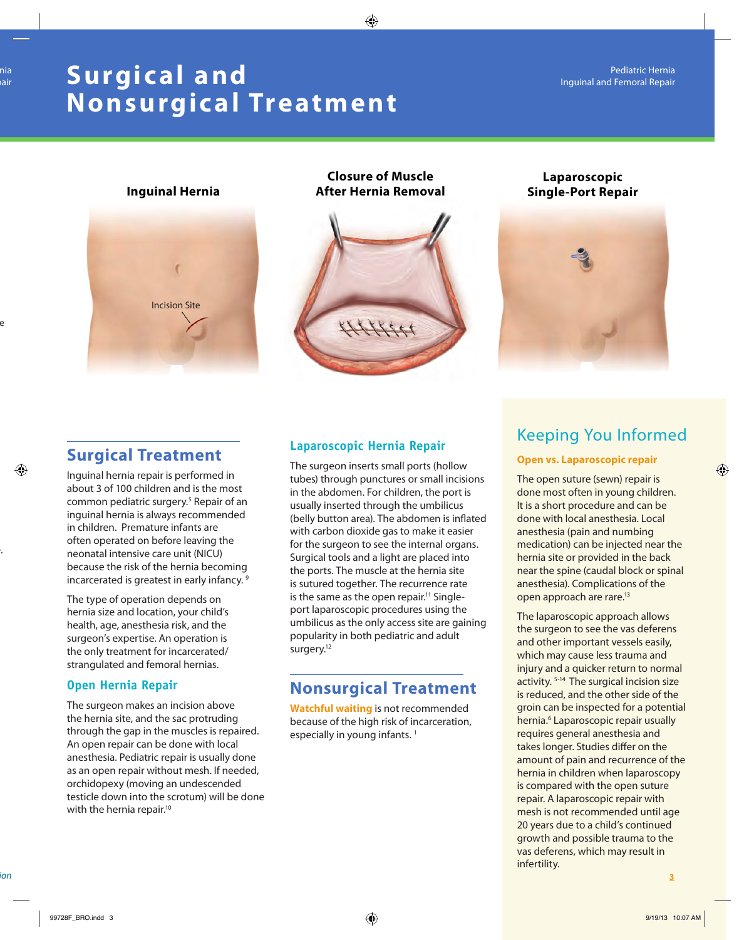# **Surgic al and Nonsurgical Treatment**



**Closure of Muscle After Hernia Removal Inguinal Hernia Single-Port Repair Single-Port Repair** 



# **Laparoscopic**



# **Surgical Treatment**

Inguinal hernia repair is performed in about 3 of 100 children and is the most common pediatric surgery.<sup>5</sup> Repair of an inguinal hernia is always recommended in children. Premature infants are often operated on before leaving the neonatal intensive care unit (NICU) because the risk of the hernia becoming incarcerated is greatest in early infancy.<sup>9</sup>

The type of operation depends on hernia size and location, your child's health, age, anesthesia risk, and the surgeon's expertise. An operation is the only treatment for incarcerated/ strangulated and femoral hernias.

#### **Open Hernia Repair**

The surgeon makes an incision above the hernia site, and the sac protruding through the gap in the muscles is repaired. An open repair can be done with local anesthesia. Pediatric repair is usually done as an open repair without mesh. If needed, orchidopexy (moving an undescended testicle down into the scrotum) will be done with the hernia repair.<sup>10</sup>

#### **Laparoscopic Hernia Repair**

The surgeon inserts small ports (hollow tubes) through punctures or small incisions in the abdomen. For children, the port is usually inserted through the umbilicus (belly button area). The abdomen is inflated with carbon dioxide gas to make it easier for the surgeon to see the internal organs. Surgical tools and a light are placed into the ports. The muscle at the hernia site is sutured together. The recurrence rate is the same as the open repair.<sup>11</sup> Singleport laparoscopic procedures using the umbilicus as the only access site are gaining popularity in both pediatric and adult surgery.<sup>12</sup>

# **Nonsurgical Treatment**

**Watchful waiting** is not recommended because of the high risk of incarceration, especially in young infants.<sup>1</sup>

# Keeping You Informed

#### **Open vs. Laparoscopic repair**

The open suture (sewn) repair is done most often in young children. It is a short procedure and can be done with local anesthesia. Local anesthesia (pain and numbing medication) can be injected near the hernia site or provided in the back near the spine (caudal block or spinal anesthesia). Complications of the open approach are rare.13

The laparoscopic approach allows the surgeon to see the vas deferens and other important vessels easily, which may cause less trauma and injury and a quicker return to normal activity. 5-14 The surgical incision size is reduced, and the other side of the groin can be inspected for a potential hernia.<sup>6</sup> Laparoscopic repair usually requires general anesthesia and takes longer. Studies differ on the amount of pain and recurrence of the hernia in children when laparoscopy is compared with the open suture repair. A laparoscopic repair with mesh is not recommended until age 20 years due to a child's continued growth and possible trauma to the vas deferens, which may result in infertility.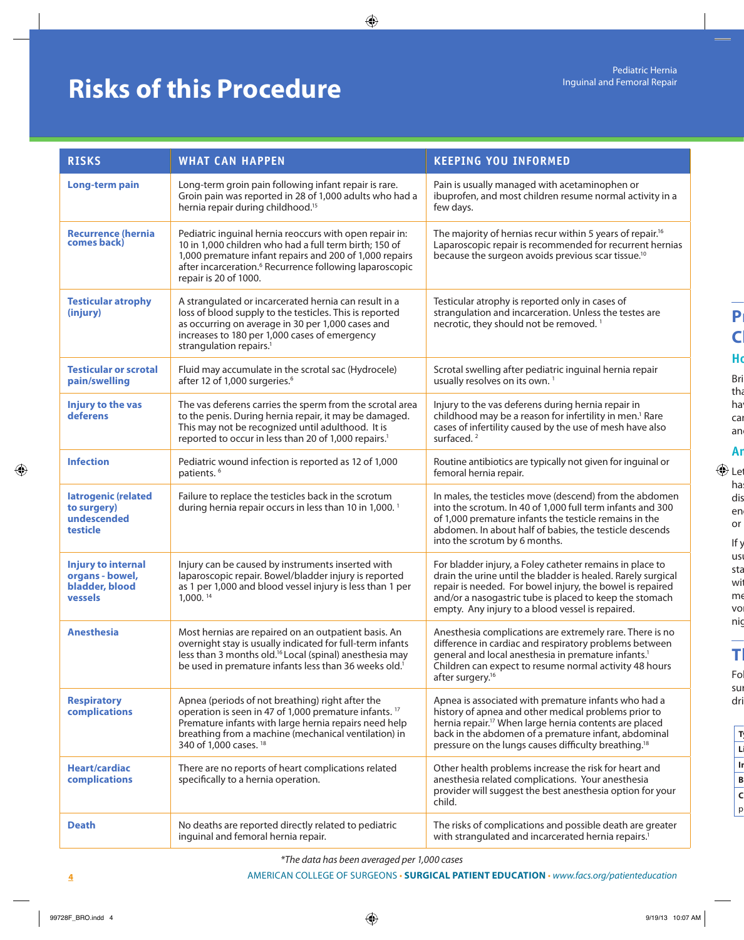# **Risks of this Procedure**

| <b>RISKS</b>                                                              | <b>WHAT CAN HAPPEN</b>                                                                                                                                                                                                                                                       | <b>KEEPING YOU INFORMED</b>                                                                                                                                                                                                                                                                                    |
|---------------------------------------------------------------------------|------------------------------------------------------------------------------------------------------------------------------------------------------------------------------------------------------------------------------------------------------------------------------|----------------------------------------------------------------------------------------------------------------------------------------------------------------------------------------------------------------------------------------------------------------------------------------------------------------|
| <b>Long-term pain</b>                                                     | Long-term groin pain following infant repair is rare.<br>Groin pain was reported in 28 of 1,000 adults who had a<br>hernia repair during childhood. <sup>15</sup>                                                                                                            | Pain is usually managed with acetaminophen or<br>ibuprofen, and most children resume normal activity in a<br>few days.                                                                                                                                                                                         |
| <b>Recurrence (hernia</b><br>comes back)                                  | Pediatric inguinal hernia reoccurs with open repair in:<br>10 in 1,000 children who had a full term birth; 150 of<br>1,000 premature infant repairs and 200 of 1,000 repairs<br>after incarceration. <sup>6</sup> Recurrence following laparoscopic<br>repair is 20 of 1000. | The majority of hernias recur within 5 years of repair. <sup>16</sup><br>Laparoscopic repair is recommended for recurrent hernias<br>because the surgeon avoids previous scar tissue. <sup>10</sup>                                                                                                            |
| <b>Testicular atrophy</b><br>(injury)                                     | A strangulated or incarcerated hernia can result in a<br>loss of blood supply to the testicles. This is reported<br>as occurring on average in 30 per 1,000 cases and<br>increases to 180 per 1,000 cases of emergency<br>strangulation repairs. <sup>1</sup>                | Testicular atrophy is reported only in cases of<br>strangulation and incarceration. Unless the testes are<br>necrotic, they should not be removed. <sup>1</sup>                                                                                                                                                |
| <b>Testicular or scrotal</b><br>pain/swelling                             | Fluid may accumulate in the scrotal sac (Hydrocele)<br>after 12 of 1,000 surgeries. <sup>6</sup>                                                                                                                                                                             | Scrotal swelling after pediatric inguinal hernia repair<br>usually resolves on its own. <sup>1</sup>                                                                                                                                                                                                           |
| <b>Injury to the vas</b><br>deferens                                      | The vas deferens carries the sperm from the scrotal area<br>to the penis. During hernia repair, it may be damaged.<br>This may not be recognized until adulthood. It is<br>reported to occur in less than 20 of 1,000 repairs. <sup>1</sup>                                  | Injury to the vas deferens during hernia repair in<br>childhood may be a reason for infertility in men. <sup>1</sup> Rare<br>cases of infertility caused by the use of mesh have also<br>surfaced. <sup>2</sup>                                                                                                |
| <b>Infection</b>                                                          | Pediatric wound infection is reported as 12 of 1,000<br>patients. <sup>6</sup>                                                                                                                                                                                               | Routine antibiotics are typically not given for inguinal or<br>femoral hernia repair.                                                                                                                                                                                                                          |
| latrogenic (related<br>to surgery)<br>undescended<br>testicle             | Failure to replace the testicles back in the scrotum<br>during hernia repair occurs in less than 10 in 1,000. <sup>1</sup>                                                                                                                                                   | In males, the testicles move (descend) from the abdomen<br>into the scrotum. In 40 of 1,000 full term infants and 300<br>of 1,000 premature infants the testicle remains in the<br>abdomen. In about half of babies, the testicle descends<br>into the scrotum by 6 months.                                    |
| <b>Injury to internal</b><br>organs - bowel,<br>bladder, blood<br>vessels | Injury can be caused by instruments inserted with<br>laparoscopic repair. Bowel/bladder injury is reported<br>as 1 per 1,000 and blood vessel injury is less than 1 per<br>1,000. 14                                                                                         | For bladder injury, a Foley catheter remains in place to<br>drain the urine until the bladder is healed. Rarely surgical<br>repair is needed. For bowel injury, the bowel is repaired<br>and/or a nasogastric tube is placed to keep the stomach<br>empty. Any injury to a blood vessel is repaired.           |
| <b>Anesthesia</b>                                                         | Most hernias are repaired on an outpatient basis. An<br>overnight stay is usually indicated for full-term infants<br>less than 3 months old. <sup>16</sup> Local (spinal) anesthesia may<br>be used in premature infants less than 36 weeks old. <sup>1</sup>                | Anesthesia complications are extremely rare. There is no<br>difference in cardiac and respiratory problems between<br>general and local anesthesia in premature infants. <sup>1</sup><br>Children can expect to resume normal activity 48 hours<br>after surgery. <sup>16</sup>                                |
| <b>Respiratory</b><br>complications                                       | Apnea (periods of not breathing) right after the<br>operation is seen in 47 of 1,000 premature infants. <sup>17</sup><br>Premature infants with large hernia repairs need help<br>breathing from a machine (mechanical ventilation) in<br>340 of 1,000 cases. <sup>18</sup>  | Apnea is associated with premature infants who had a<br>history of apnea and other medical problems prior to<br>hernia repair. <sup>17</sup> When large hernia contents are placed<br>back in the abdomen of a premature infant, abdominal<br>pressure on the lungs causes difficulty breathing. <sup>18</sup> |
| <b>Heart/cardiac</b><br>complications                                     | There are no reports of heart complications related<br>specifically to a hernia operation.                                                                                                                                                                                   | Other health problems increase the risk for heart and<br>anesthesia related complications. Your anesthesia<br>provider will suggest the best anesthesia option for your<br>child.                                                                                                                              |
| <b>Death</b>                                                              | No deaths are reported directly related to pediatric<br>inguinal and femoral hernia repair.                                                                                                                                                                                  | The risks of complications and possible death are greater<br>with strangulated and incarcerated hernia repairs. <sup>1</sup>                                                                                                                                                                                   |

*\*The data has been averaged per 1,000 cases*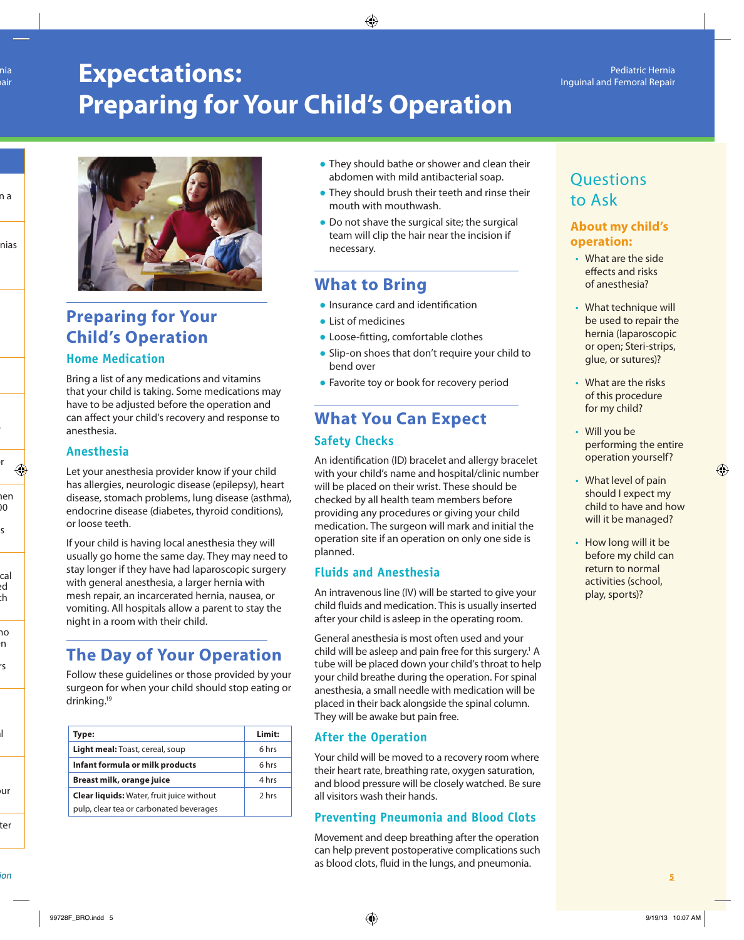# **Expectations: Preparing for Your Child's Operation**



# **Preparing for Your Child's Operation**

#### **Home Medication**

Bring a list of any medications and vitamins that your child is taking. Some medications may have to be adjusted before the operation and can affect your child's recovery and response to anesthesia.

#### **Anesthesia**

Let your anesthesia provider know if your child has allergies, neurologic disease (epilepsy), heart disease, stomach problems, lung disease (asthma), endocrine disease (diabetes, thyroid conditions), or loose teeth.

If your child is having local anesthesia they will usually go home the same day. They may need to stay longer if they have had laparoscopic surgery with general anesthesia, a larger hernia with mesh repair, an incarcerated hernia, nausea, or vomiting. All hospitals allow a parent to stay the night in a room with their child.

# **The Day of Your Operation**

Follow these guidelines or those provided by your surgeon for when your child should stop eating or drinking.19

| Type:                                            | Limit: |
|--------------------------------------------------|--------|
| Light meal: Toast, cereal, soup                  | 6 hrs  |
| Infant formula or milk products                  | 6 hrs  |
| Breast milk, orange juice                        | 4 hrs  |
| <b>Clear liquids:</b> Water, fruit juice without | 2 hrs  |
| pulp, clear tea or carbonated beverages          |        |

- They should bathe or shower and clean their abdomen with mild antibacterial soap.
- They should brush their teeth and rinse their mouth with mouthwash.
- Do not shave the surgical site; the surgical team will clip the hair near the incision if necessary.

## **What to Bring**

- Insurance card and identification
- List of medicines
- Loose-fitting, comfortable clothes
- Slip-on shoes that don't require your child to bend over
- Favorite toy or book for recovery period

# **What You Can Expect Safety Checks**

An identification (ID) bracelet and allergy bracelet with your child's name and hospital/clinic number will be placed on their wrist. These should be checked by all health team members before providing any procedures or giving your child medication. The surgeon will mark and initial the operation site if an operation on only one side is planned.

#### **Fluids and Anesthesia**

An intravenous line (IV) will be started to give your child fluids and medication. This is usually inserted after your child is asleep in the operating room.

General anesthesia is most often used and your child will be asleep and pain free for this surgery.<sup>1</sup> A tube will be placed down your child's throat to help your child breathe during the operation. For spinal anesthesia, a small needle with medication will be placed in their back alongside the spinal column. They will be awake but pain free.

#### **After the Operation**

Your child will be moved to a recovery room where their heart rate, breathing rate, oxygen saturation, and blood pressure will be closely watched. Be sure all visitors wash their hands.

#### **Preventing Pneumonia and Blood Clots**

Movement and deep breathing after the operation can help prevent postoperative complications such as blood clots, fluid in the lungs, and pneumonia.

# **Ouestions** to Ask

#### **About my child's operation:**

- What are the side effects and risks of anesthesia?
- What technique will be used to repair the hernia (laparoscopic or open; Steri-strips, glue, or sutures)?
- What are the risks of this procedure for my child?
- Will you be performing the entire operation yourself?
- What level of pain should I expect my child to have and how will it be managed?
- How long will it be before my child can return to normal activities (school, play, sports)?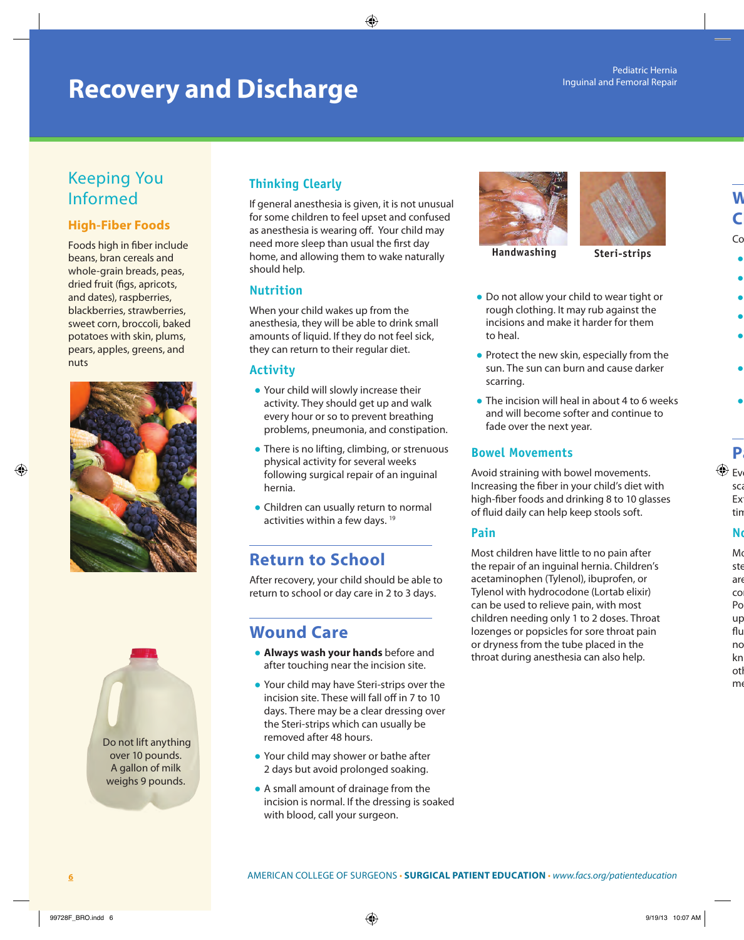# **Recovery and Discharge**

# Keeping You Informed

#### **High-Fiber Foods**

Foods high in fiber include beans, bran cereals and whole-grain breads, peas, dried fruit (figs, apricots, and dates), raspberries, blackberries, strawberries, sweet corn, broccoli, baked potatoes with skin, plums, pears, apples, greens, and nuts



 Do not lift anything over 10 pounds. A gallon of milk weighs 9 pounds.

### **Thinking Clearly**

If general anesthesia is given, it is not unusual for some children to feel upset and confused as anesthesia is wearing off. Your child may need more sleep than usual the first day home, and allowing them to wake naturally should help.

#### **Nutrition**

When your child wakes up from the anesthesia, they will be able to drink small amounts of liquid. If they do not feel sick, they can return to their regular diet.

#### **Activity**

- Your child will slowly increase their activity. They should get up and walk every hour or so to prevent breathing problems, pneumonia, and constipation.
- There is no lifting, climbing, or strenuous physical activity for several weeks following surgical repair of an inguinal hernia.
- Children can usually return to normal activities within a few days. 19

## **Return to School**

After recovery, your child should be able to return to school or day care in 2 to 3 days.

## **Wound Care**

- **Always wash your hands** before and after touching near the incision site.
- Your child may have Steri-strips over the incision site. These will fall off in 7 to 10 days. There may be a clear dressing over the Steri-strips which can usually be removed after 48 hours.
- Your child may shower or bathe after 2 days but avoid prolonged soaking.
- A small amount of drainage from the incision is normal. If the dressing is soaked with blood, call your surgeon.





**Handwashing Steri-strips**

- Do not allow your child to wear tight or rough clothing. It may rub against the incisions and make it harder for them to heal.
- Protect the new skin, especially from the sun. The sun can burn and cause darker scarring.
- The incision will heal in about 4 to 6 weeks and will become softer and continue to fade over the next year.

#### **Bowel Movements**

Avoid straining with bowel movements. Increasing the fiber in your child's diet with high-fiber foods and drinking 8 to 10 glasses of fluid daily can help keep stools soft.

#### **Pain**

Most children have little to no pain after the repair of an inguinal hernia. Children's acetaminophen (Tylenol), ibuprofen, or Tylenol with hydrocodone (Lortab elixir) can be used to relieve pain, with most children needing only 1 to 2 doses. Throat lozenges or popsicles for sore throat pain or dryness from the tube placed in the throat during anesthesia can also help.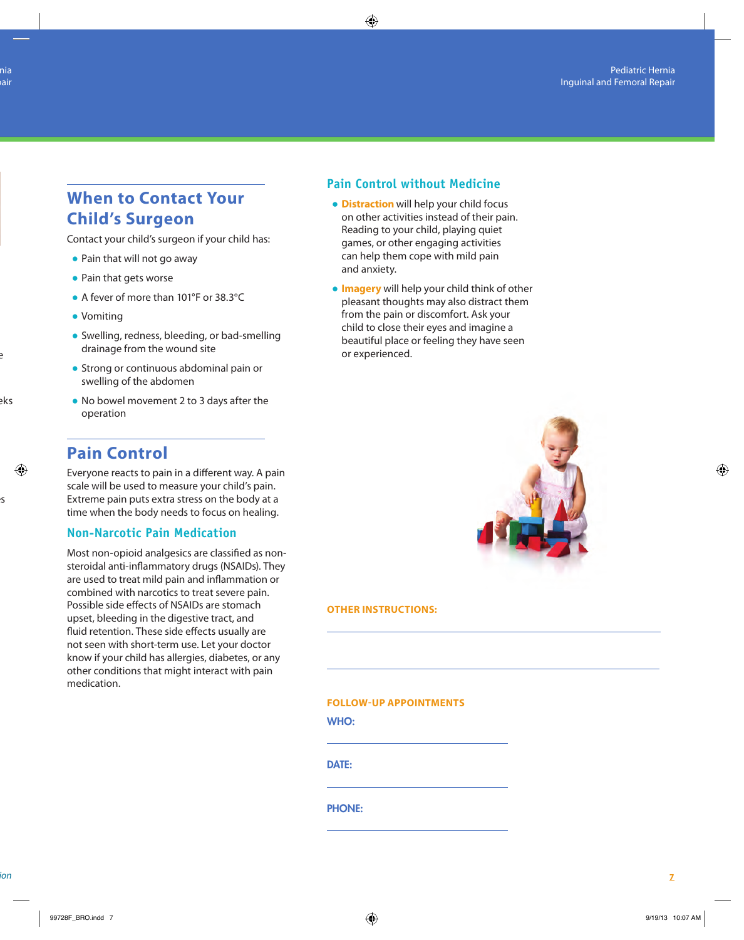# **When to Contact Your Child's Surgeon**

Contact your child's surgeon if your child has:

- Pain that will not go away
- Pain that gets worse
- A fever of more than 101°F or 38.3°C
- Vomiting
- Swelling, redness, bleeding, or bad-smelling drainage from the wound site
- Strong or continuous abdominal pain or swelling of the abdomen
- No bowel movement 2 to 3 days after the operation

### **Pain Control**

Everyone reacts to pain in a different way. A pain scale will be used to measure your child's pain. Extreme pain puts extra stress on the body at a time when the body needs to focus on healing.

#### **Non-Narcotic Pain Medication**

Most non-opioid analgesics are classified as nonsteroidal anti-inflammatory drugs (NSAIDs). They are used to treat mild pain and inflammation or combined with narcotics to treat severe pain. Possible side effects of NSAIDs are stomach upset, bleeding in the digestive tract, and fluid retention. These side effects usually are not seen with short-term use. Let your doctor know if your child has allergies, diabetes, or any other conditions that might interact with pain medication.

#### **Pain Control without Medicine**

- **Distraction** will help your child focus on other activities instead of their pain. Reading to your child, playing quiet games, or other engaging activities can help them cope with mild pain and anxiety.
- **Imagery** will help your child think of other pleasant thoughts may also distract them from the pain or discomfort. Ask your child to close their eyes and imagine a beautiful place or feeling they have seen or experienced.



#### **OTHER INSTRUCTIONS:**

#### **FOLLOW-UP APPOINTMENTS**

WHO:

DATE:

PHONE: